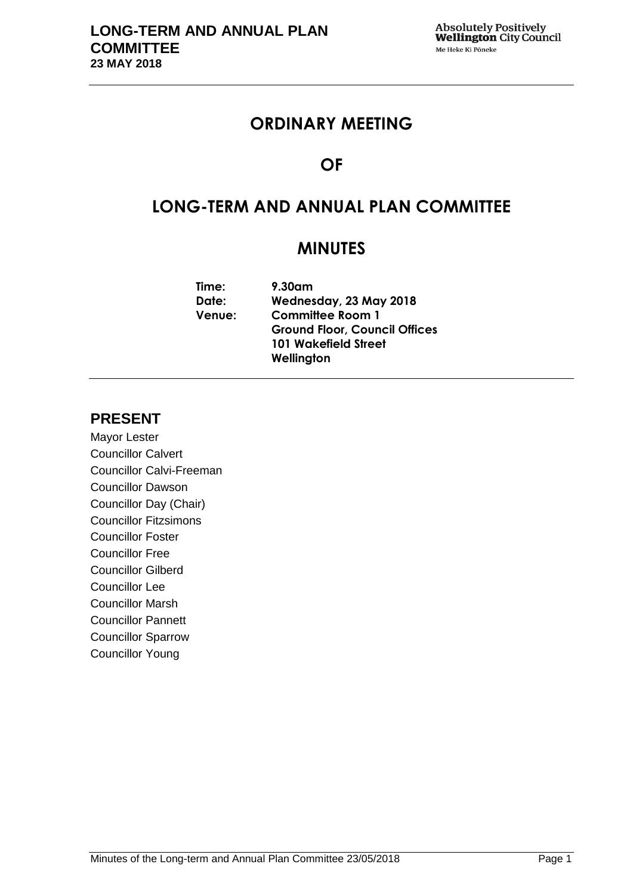# **ORDINARY MEETING**

# **OF**

# **LONG-TERM AND ANNUAL PLAN COMMITTEE**

# **MINUTES**

| Time:         | 9.30am                               |
|---------------|--------------------------------------|
| Date:         | Wednesday, 23 May 2018               |
| <b>Venue:</b> | <b>Committee Room 1</b>              |
|               | <b>Ground Floor, Council Offices</b> |
|               | <b>101 Wakefield Street</b>          |
|               | Wellington                           |
|               |                                      |

# **PRESENT**

Mayor Lester Councillor Calvert Councillor Calvi-Freeman Councillor Dawson Councillor Day (Chair) Councillor Fitzsimons Councillor Foster Councillor Free Councillor Gilberd Councillor Lee Councillor Marsh Councillor Pannett Councillor Sparrow Councillor Young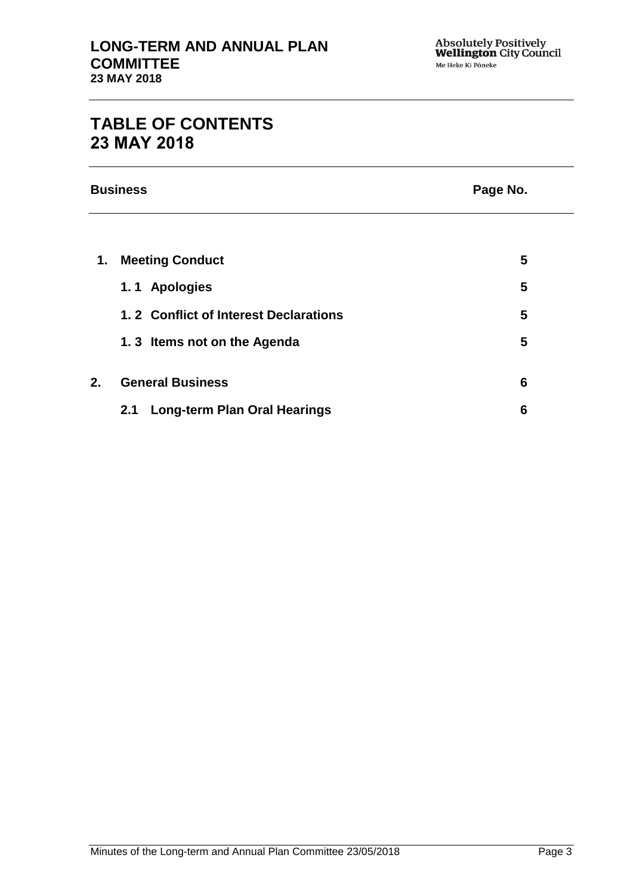# **TABLE OF CONTENTS 23 MAY 2018**

**Business Page No.**

| 1. | <b>Meeting Conduct</b>                     | 5 |
|----|--------------------------------------------|---|
|    | 1.1 Apologies                              | 5 |
|    | 1.2 Conflict of Interest Declarations      | 5 |
|    | 1.3 Items not on the Agenda                | 5 |
| 2. | <b>General Business</b>                    | 6 |
|    | <b>Long-term Plan Oral Hearings</b><br>2.1 | 6 |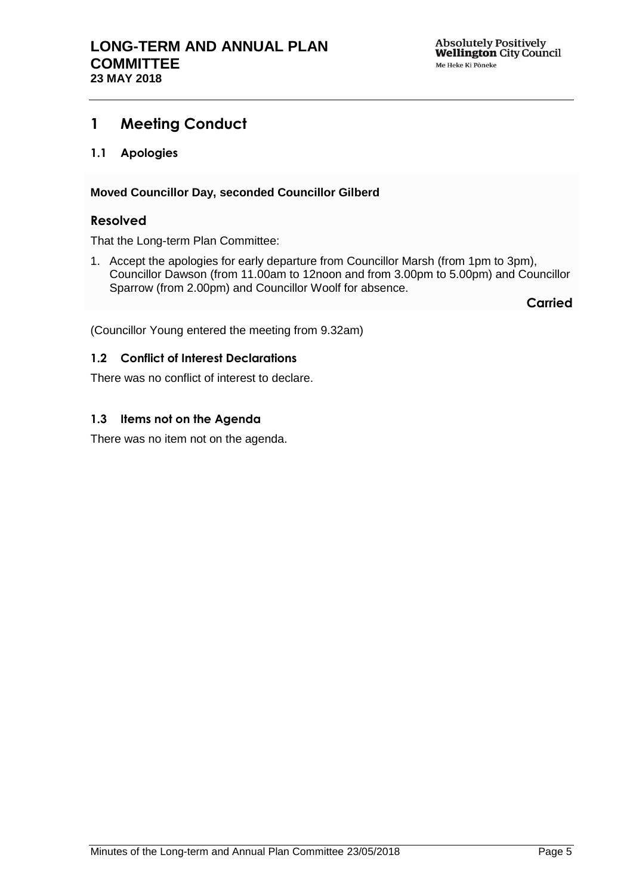# <span id="page-4-0"></span>**1 Meeting Conduct**

<span id="page-4-1"></span>**1.1 Apologies**

### **Moved Councillor Day, seconded Councillor Gilberd**

### **Resolved**

That the Long-term Plan Committee:

1. Accept the apologies for early departure from Councillor Marsh (from 1pm to 3pm), Councillor Dawson (from 11.00am to 12noon and from 3.00pm to 5.00pm) and Councillor Sparrow (from 2.00pm) and Councillor Woolf for absence.

**Carried**

(Councillor Young entered the meeting from 9.32am)

### <span id="page-4-2"></span>**1.2 Conflict of Interest Declarations**

There was no conflict of interest to declare.

### <span id="page-4-3"></span>**1.3 Items not on the Agenda**

There was no item not on the agenda.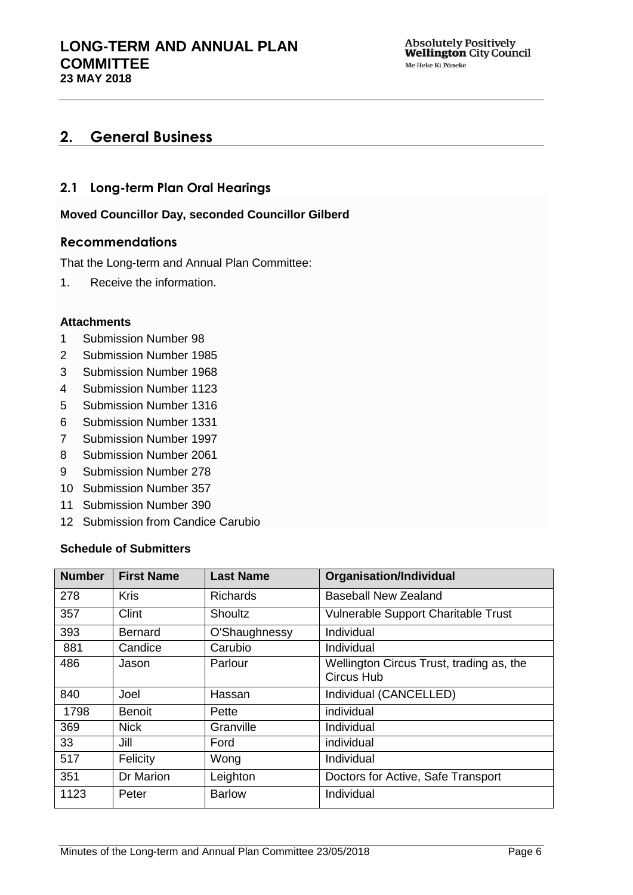# <span id="page-5-0"></span>**2. General Business**

### <span id="page-5-1"></span>**2.1 Long-term Plan Oral Hearings**

**Moved Councillor Day, seconded Councillor Gilberd**

### **Recommendations**

That the Long-term and Annual Plan Committee:

1. Receive the information.

#### **Attachments**

- 1 Submission Number 98
- 2 Submission Number 1985
- 3 Submission Number 1968
- 4 Submission Number 1123
- 5 Submission Number 1316
- 6 Submission Number 1331
- 7 Submission Number 1997
- 8 Submission Number 2061
- 9 Submission Number 278
- 10 Submission Number 357
- 11 Submission Number 390
- 12 Submission from Candice Carubio

#### **Schedule of Submitters**

| <b>Number</b> | <b>First Name</b> | <b>Last Name</b> | <b>Organisation/Individual</b>                                |
|---------------|-------------------|------------------|---------------------------------------------------------------|
| 278           | <b>Kris</b>       | <b>Richards</b>  | <b>Baseball New Zealand</b>                                   |
| 357           | Clint             | <b>Shoultz</b>   | Vulnerable Support Charitable Trust                           |
| 393           | <b>Bernard</b>    | O'Shaughnessy    | Individual                                                    |
| 881           | Candice           | Carubio          | Individual                                                    |
| 486           | Jason             | Parlour          | Wellington Circus Trust, trading as, the<br><b>Circus Hub</b> |
| 840           | Joel              | Hassan           | Individual (CANCELLED)                                        |
| 1798          | <b>Benoit</b>     | Pette            | individual                                                    |
| 369           | <b>Nick</b>       | Granville        | Individual                                                    |
| 33            | Jill              | Ford             | individual                                                    |
| 517           | Felicity          | Wong             | Individual                                                    |
| 351           | Dr Marion         | Leighton         | Doctors for Active, Safe Transport                            |
| 1123          | Peter             | <b>Barlow</b>    | Individual                                                    |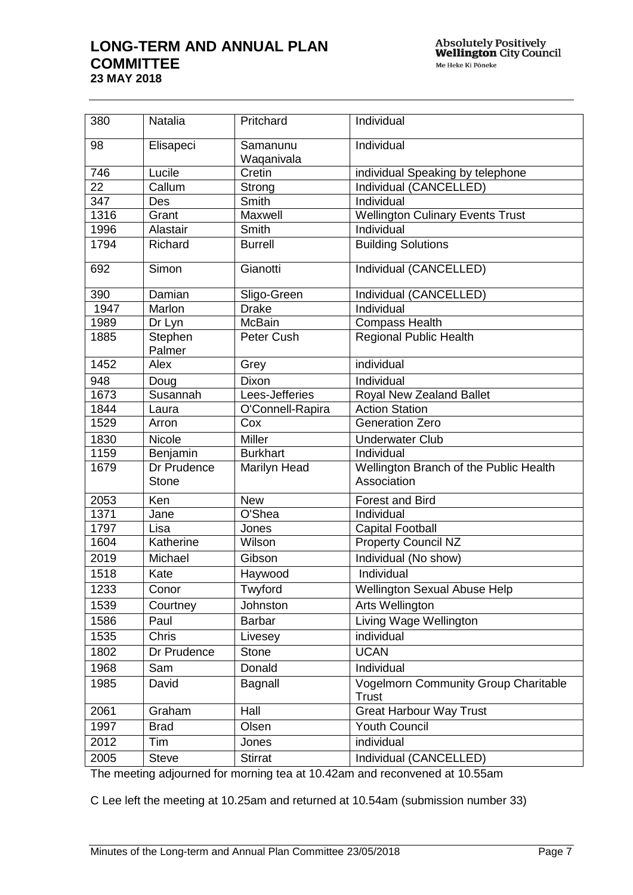| 380  | Natalia                     | Pritchard              | Individual                                            |  |
|------|-----------------------------|------------------------|-------------------------------------------------------|--|
| 98   | Elisapeci                   | Samanunu<br>Waqanivala | Individual                                            |  |
| 746  | Lucile                      | Cretin                 | individual Speaking by telephone                      |  |
| 22   | Callum                      | Strong                 | Individual (CANCELLED)                                |  |
| 347  | Des                         | Smith                  | Individual                                            |  |
| 1316 | Grant                       | Maxwell                | <b>Wellington Culinary Events Trust</b>               |  |
| 1996 | Alastair                    | Smith                  | Individual                                            |  |
| 1794 | Richard                     | <b>Burrell</b>         | <b>Building Solutions</b>                             |  |
| 692  | Simon                       | Gianotti               | Individual (CANCELLED)                                |  |
| 390  | Damian                      | Sligo-Green            | Individual (CANCELLED)                                |  |
| 1947 | Marlon                      | <b>Drake</b>           | Individual                                            |  |
| 1989 | Dr Lyn                      | <b>McBain</b>          | <b>Compass Health</b>                                 |  |
| 1885 | Stephen<br>Palmer           | Peter Cush             | <b>Regional Public Health</b>                         |  |
| 1452 | Alex                        | Grey                   | individual                                            |  |
| 948  | Doug                        | Dixon                  | Individual                                            |  |
| 1673 | Susannah                    | Lees-Jefferies         | Royal New Zealand Ballet                              |  |
| 1844 | Laura                       | O'Connell-Rapira       | <b>Action Station</b>                                 |  |
| 1529 | Arron                       | Cox                    | <b>Generation Zero</b>                                |  |
| 1830 | Nicole                      | Miller                 | <b>Underwater Club</b>                                |  |
| 1159 | Benjamin                    | <b>Burkhart</b>        | Individual                                            |  |
| 1679 | Dr Prudence<br><b>Stone</b> | Marilyn Head           | Wellington Branch of the Public Health<br>Association |  |
| 2053 | Ken                         | <b>New</b>             | <b>Forest and Bird</b>                                |  |
| 1371 | Jane                        | O'Shea                 | Individual                                            |  |
| 1797 | Lisa                        | Jones                  | <b>Capital Football</b>                               |  |
| 1604 | Katherine                   | Wilson                 | <b>Property Council NZ</b>                            |  |
| 2019 | Michael                     | Gibson                 | Individual (No show)                                  |  |
| 1518 | Kate                        | Haywood                | Individual                                            |  |
| 1233 | Conor                       | Twyford                | <b>Wellington Sexual Abuse Help</b>                   |  |
| 1539 | Courtney                    | Johnston               | Arts Wellington                                       |  |
| 1586 | Paul                        | <b>Barbar</b>          | Living Wage Wellington                                |  |
| 1535 | Chris                       | Livesey                | individual                                            |  |
| 1802 | Dr Prudence                 | <b>Stone</b>           | <b>UCAN</b>                                           |  |
| 1968 | Sam                         | Donald                 | Individual                                            |  |
| 1985 | David                       | Bagnall                | <b>Vogelmorn Community Group Charitable</b><br>Trust  |  |
| 2061 | Graham                      | Hall                   | <b>Great Harbour Way Trust</b>                        |  |
| 1997 | <b>Brad</b>                 | Olsen                  | <b>Youth Council</b>                                  |  |
| 2012 | Tim                         | Jones                  | individual                                            |  |
| 2005 | Steve                       | <b>Stirrat</b>         | Individual (CANCELLED)                                |  |
|      |                             |                        |                                                       |  |

The meeting adjourned for morning tea at 10.42am and reconvened at 10.55am

C Lee left the meeting at 10.25am and returned at 10.54am (submission number 33)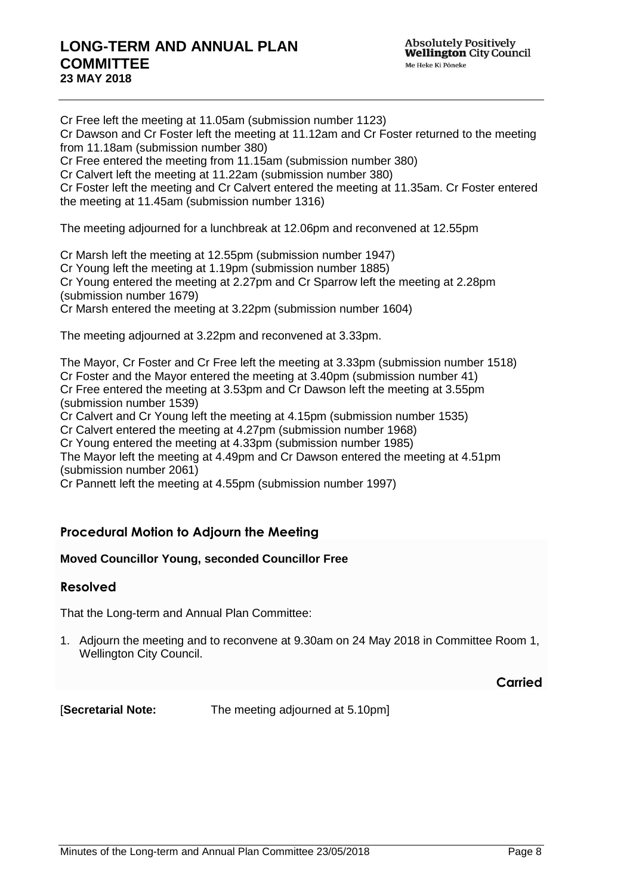Cr Free left the meeting at 11.05am (submission number 1123) Cr Dawson and Cr Foster left the meeting at 11.12am and Cr Foster returned to the meeting from 11.18am (submission number 380) Cr Free entered the meeting from 11.15am (submission number 380) Cr Calvert left the meeting at 11.22am (submission number 380) Cr Foster left the meeting and Cr Calvert entered the meeting at 11.35am. Cr Foster entered the meeting at 11.45am (submission number 1316) The meeting adjourned for a lunchbreak at 12.06pm and reconvened at 12.55pm Cr Marsh left the meeting at 12.55pm (submission number 1947) Cr Young left the meeting at 1.19pm (submission number 1885) Cr Young entered the meeting at 2.27pm and Cr Sparrow left the meeting at 2.28pm (submission number 1679) Cr Marsh entered the meeting at 3.22pm (submission number 1604)

The meeting adjourned at 3.22pm and reconvened at 3.33pm.

The Mayor, Cr Foster and Cr Free left the meeting at 3.33pm (submission number 1518) Cr Foster and the Mayor entered the meeting at 3.40pm (submission number 41) Cr Free entered the meeting at 3.53pm and Cr Dawson left the meeting at 3.55pm (submission number 1539)

Cr Calvert and Cr Young left the meeting at 4.15pm (submission number 1535)

Cr Calvert entered the meeting at 4.27pm (submission number 1968)

Cr Young entered the meeting at 4.33pm (submission number 1985)

The Mayor left the meeting at 4.49pm and Cr Dawson entered the meeting at 4.51pm (submission number 2061)

Cr Pannett left the meeting at 4.55pm (submission number 1997)

### **Procedural Motion to Adjourn the Meeting**

### **Moved Councillor Young, seconded Councillor Free**

### **Resolved**

That the Long-term and Annual Plan Committee:

1. Adjourn the meeting and to reconvene at 9.30am on 24 May 2018 in Committee Room 1, Wellington City Council.

**Carried**

[**Secretarial Note:** The meeting adjourned at 5.10pm]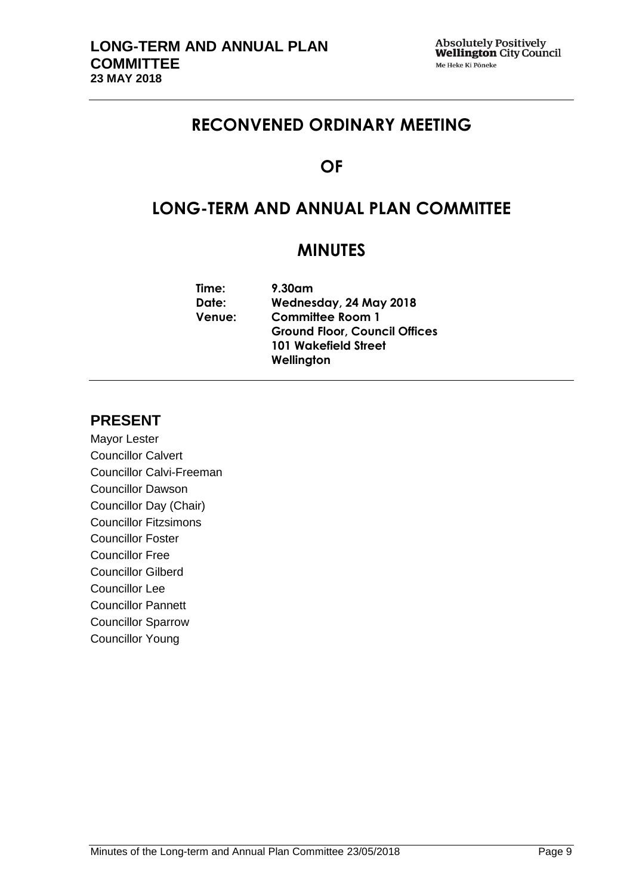# **RECONVENED ORDINARY MEETING**

# **OF**

# **LONG-TERM AND ANNUAL PLAN COMMITTEE**

# **MINUTES**

| Time:         | 9.30am                               |
|---------------|--------------------------------------|
| Date:         | Wednesday, 24 May 2018               |
| <b>Venue:</b> | <b>Committee Room 1</b>              |
|               | <b>Ground Floor, Council Offices</b> |
|               | <b>101 Wakefield Street</b>          |
|               | Wellington                           |
|               |                                      |

## **PRESENT**

Mayor Lester Councillor Calvert Councillor Calvi-Freeman Councillor Dawson Councillor Day (Chair) Councillor Fitzsimons Councillor Foster Councillor Free Councillor Gilberd Councillor Lee Councillor Pannett Councillor Sparrow Councillor Young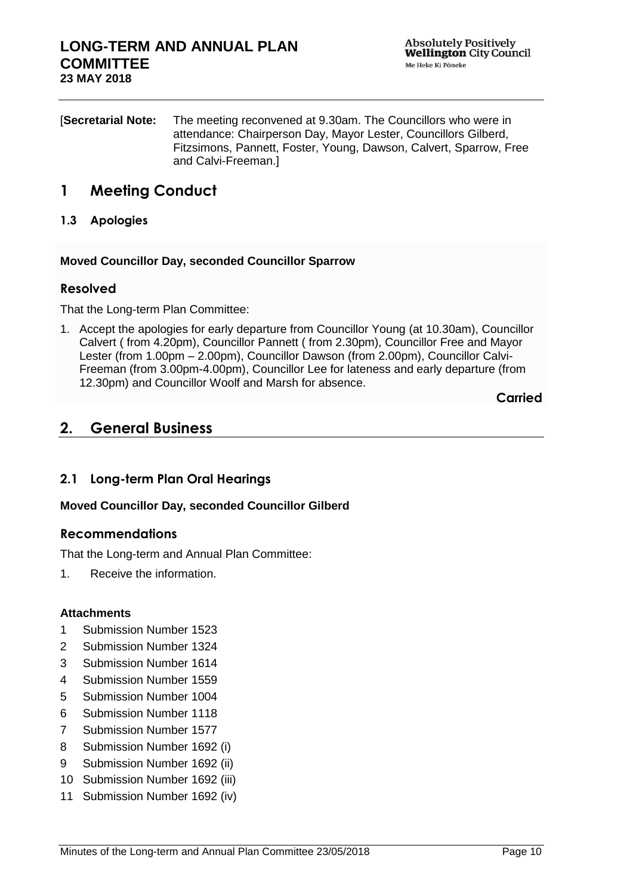[**Secretarial Note:** The meeting reconvened at 9.30am. The Councillors who were in attendance: Chairperson Day, Mayor Lester, Councillors Gilberd, Fitzsimons, Pannett, Foster, Young, Dawson, Calvert, Sparrow, Free and Calvi-Freeman.]

## **1 Meeting Conduct**

**1.3 Apologies**

**Moved Councillor Day, seconded Councillor Sparrow**

### **Resolved**

That the Long-term Plan Committee:

1. Accept the apologies for early departure from Councillor Young (at 10.30am), Councillor Calvert ( from 4.20pm), Councillor Pannett ( from 2.30pm), Councillor Free and Mayor Lester (from 1.00pm – 2.00pm), Councillor Dawson (from 2.00pm), Councillor Calvi-Freeman (from 3.00pm-4.00pm), Councillor Lee for lateness and early departure (from 12.30pm) and Councillor Woolf and Marsh for absence.

**Carried**

## **2. General Business**

### **2.1 Long-term Plan Oral Hearings**

### **Moved Councillor Day, seconded Councillor Gilberd**

### **Recommendations**

That the Long-term and Annual Plan Committee:

1. Receive the information.

### **Attachments**

- 1 Submission Number 1523
- 2 Submission Number 1324
- 3 Submission Number 1614
- 4 Submission Number 1559
- 5 Submission Number 1004
- 6 Submission Number 1118
- 7 Submission Number 1577
- 8 Submission Number 1692 (i)
- 9 Submission Number 1692 (ii)
- 10 Submission Number 1692 (iii)
- 11 Submission Number 1692 (iv)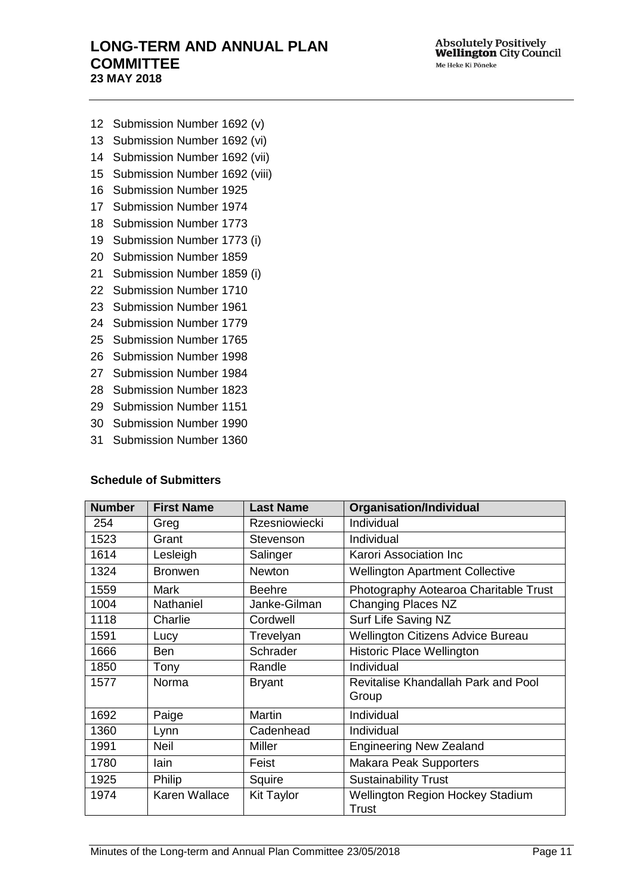- Submission Number 1692 (v)
- Submission Number 1692 (vi)
- Submission Number 1692 (vii)
- Submission Number 1692 (viii)
- Submission Number 1925
- Submission Number 1974
- Submission Number 1773
- Submission Number 1773 (i)
- Submission Number 1859
- Submission Number 1859 (i)
- Submission Number 1710
- Submission Number 1961
- Submission Number 1779
- Submission Number 1765
- Submission Number 1998
- Submission Number 1984
- Submission Number 1823
- Submission Number 1151
- Submission Number 1990
- Submission Number 1360

#### **Schedule of Submitters**

| <b>Number</b> | <b>First Name</b> | <b>Last Name</b>     | <b>Organisation/Individual</b>                          |
|---------------|-------------------|----------------------|---------------------------------------------------------|
| 254           | Greg              | <b>Rzesniowiecki</b> | Individual                                              |
| 1523          | Grant             | Stevenson            | Individual                                              |
| 1614          | Lesleigh          | Salinger             | Karori Association Inc                                  |
| 1324          | <b>Bronwen</b>    | Newton               | <b>Wellington Apartment Collective</b>                  |
| 1559          | <b>Mark</b>       | <b>Beehre</b>        | Photography Aotearoa Charitable Trust                   |
| 1004          | <b>Nathaniel</b>  | Janke-Gilman         | <b>Changing Places NZ</b>                               |
| 1118          | Charlie           | Cordwell             | Surf Life Saving NZ                                     |
| 1591          | Lucy              | Trevelyan            | <b>Wellington Citizens Advice Bureau</b>                |
| 1666          | Ben               | Schrader             | <b>Historic Place Wellington</b>                        |
| 1850          | Tony              | Randle               | Individual                                              |
| 1577          | Norma             | <b>Bryant</b>        | Revitalise Khandallah Park and Pool<br>Group            |
| 1692          | Paige             | Martin               | Individual                                              |
| 1360          | Lynn              | Cadenhead            | Individual                                              |
| 1991          | <b>Neil</b>       | Miller               | <b>Engineering New Zealand</b>                          |
| 1780          | lain              | Feist                | <b>Makara Peak Supporters</b>                           |
| 1925          | Philip            | Squire               | <b>Sustainability Trust</b>                             |
| 1974          | Karen Wallace     | <b>Kit Taylor</b>    | <b>Wellington Region Hockey Stadium</b><br><b>Trust</b> |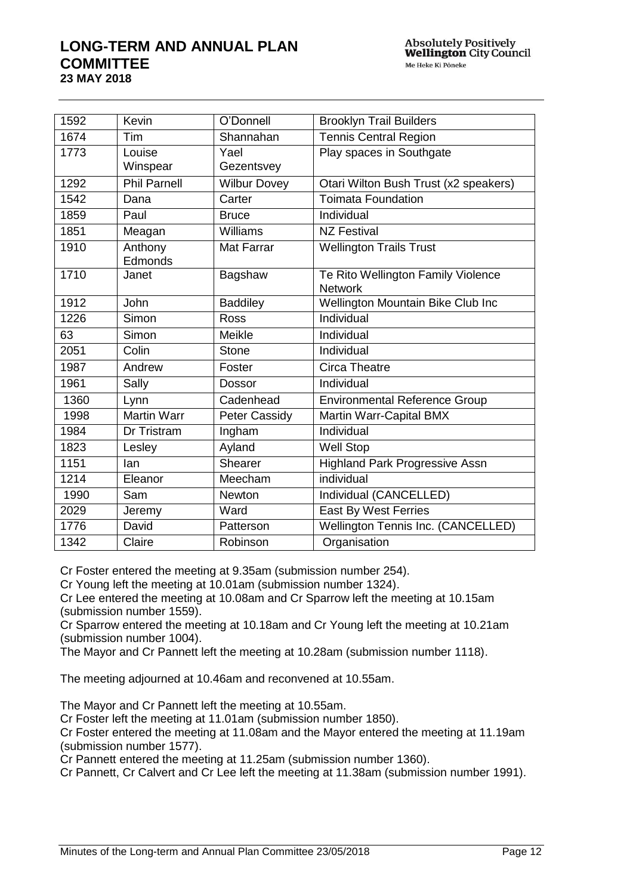| 1592 | Kevin               | O'Donnell            | <b>Brooklyn Trail Builders</b>                       |
|------|---------------------|----------------------|------------------------------------------------------|
| 1674 | Tim                 | Shannahan            | <b>Tennis Central Region</b>                         |
| 1773 | Louise              | Yael                 | Play spaces in Southgate                             |
|      | Winspear            | Gezentsvey           |                                                      |
| 1292 | <b>Phil Parnell</b> | <b>Wilbur Dovey</b>  | Otari Wilton Bush Trust (x2 speakers)                |
| 1542 | Dana                | Carter               | <b>Toimata Foundation</b>                            |
| 1859 | Paul                | <b>Bruce</b>         | Individual                                           |
| 1851 | Meagan              | Williams             | <b>NZ Festival</b>                                   |
| 1910 | Anthony             | <b>Mat Farrar</b>    | <b>Wellington Trails Trust</b>                       |
|      | Edmonds             |                      |                                                      |
| 1710 | Janet               | Bagshaw              | Te Rito Wellington Family Violence<br><b>Network</b> |
| 1912 | <b>John</b>         | <b>Baddiley</b>      | Wellington Mountain Bike Club Inc                    |
|      |                     |                      |                                                      |
| 1226 | Simon               | <b>Ross</b>          | Individual                                           |
| 63   | Simon               | Meikle               | Individual                                           |
| 2051 | Colin               | <b>Stone</b>         | Individual                                           |
| 1987 | Andrew              | Foster               | <b>Circa Theatre</b>                                 |
| 1961 | Sally               | <b>Dossor</b>        | Individual                                           |
| 1360 | Lynn                | Cadenhead            | <b>Environmental Reference Group</b>                 |
| 1998 | <b>Martin Warr</b>  | <b>Peter Cassidy</b> | Martin Warr-Capital BMX                              |
| 1984 | Dr Tristram         | Ingham               | Individual                                           |
| 1823 | Lesley              | Ayland               | <b>Well Stop</b>                                     |
| 1151 | lan                 | Shearer              | <b>Highland Park Progressive Assn</b>                |
| 1214 | Eleanor             | Meecham              | individual                                           |
| 1990 | Sam                 | <b>Newton</b>        | Individual (CANCELLED)                               |
| 2029 | Jeremy              | Ward                 | East By West Ferries                                 |
| 1776 | David               | Patterson            | Wellington Tennis Inc. (CANCELLED)                   |
| 1342 | Claire              | Robinson             | Organisation                                         |

Cr Foster entered the meeting at 9.35am (submission number 254).

Cr Young left the meeting at 10.01am (submission number 1324).

Cr Lee entered the meeting at 10.08am and Cr Sparrow left the meeting at 10.15am (submission number 1559).

Cr Sparrow entered the meeting at 10.18am and Cr Young left the meeting at 10.21am (submission number 1004).

The Mayor and Cr Pannett left the meeting at 10.28am (submission number 1118).

The meeting adjourned at 10.46am and reconvened at 10.55am.

The Mayor and Cr Pannett left the meeting at 10.55am.

Cr Foster left the meeting at 11.01am (submission number 1850).

Cr Foster entered the meeting at 11.08am and the Mayor entered the meeting at 11.19am (submission number 1577).

Cr Pannett entered the meeting at 11.25am (submission number 1360).

Cr Pannett, Cr Calvert and Cr Lee left the meeting at 11.38am (submission number 1991).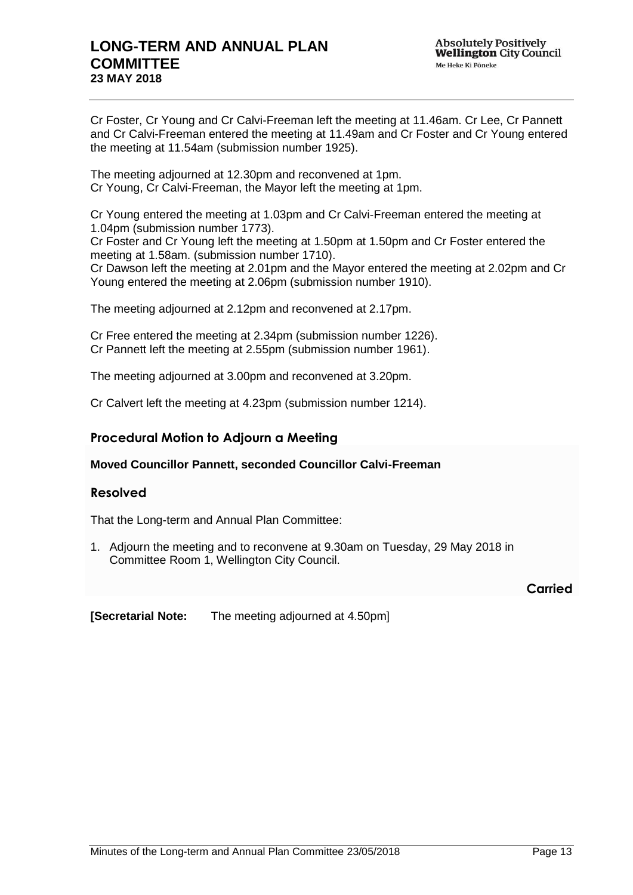Cr Foster, Cr Young and Cr Calvi-Freeman left the meeting at 11.46am. Cr Lee, Cr Pannett and Cr Calvi-Freeman entered the meeting at 11.49am and Cr Foster and Cr Young entered the meeting at 11.54am (submission number 1925).

The meeting adjourned at 12.30pm and reconvened at 1pm. Cr Young, Cr Calvi-Freeman, the Mayor left the meeting at 1pm.

Cr Young entered the meeting at 1.03pm and Cr Calvi-Freeman entered the meeting at 1.04pm (submission number 1773).

Cr Foster and Cr Young left the meeting at 1.50pm at 1.50pm and Cr Foster entered the meeting at 1.58am. (submission number 1710).

Cr Dawson left the meeting at 2.01pm and the Mayor entered the meeting at 2.02pm and Cr Young entered the meeting at 2.06pm (submission number 1910).

The meeting adjourned at 2.12pm and reconvened at 2.17pm.

Cr Free entered the meeting at 2.34pm (submission number 1226). Cr Pannett left the meeting at 2.55pm (submission number 1961).

The meeting adjourned at 3.00pm and reconvened at 3.20pm.

Cr Calvert left the meeting at 4.23pm (submission number 1214).

### **Procedural Motion to Adjourn a Meeting**

**Moved Councillor Pannett, seconded Councillor Calvi-Freeman**

### **Resolved**

That the Long-term and Annual Plan Committee:

1. Adjourn the meeting and to reconvene at 9.30am on Tuesday, 29 May 2018 in Committee Room 1, Wellington City Council.

**Carried**

**[Secretarial Note:** The meeting adjourned at 4.50pm]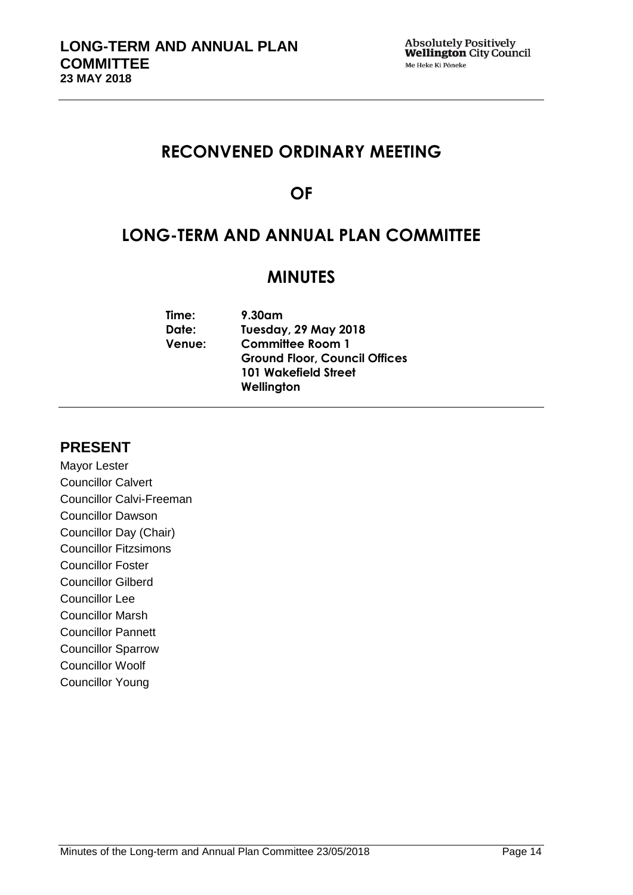# **RECONVENED ORDINARY MEETING**

# **OF**

# **LONG-TERM AND ANNUAL PLAN COMMITTEE**

# **MINUTES**

| 9.30am                               |
|--------------------------------------|
| <b>Tuesday, 29 May 2018</b>          |
| <b>Committee Room 1</b>              |
| <b>Ground Floor, Council Offices</b> |
| <b>101 Wakefield Street</b>          |
| Wellington                           |
|                                      |

## **PRESENT**

Mayor Lester Councillor Calvert Councillor Calvi-Freeman Councillor Dawson Councillor Day (Chair) Councillor Fitzsimons Councillor Foster Councillor Gilberd Councillor Lee Councillor Marsh Councillor Pannett Councillor Sparrow Councillor Woolf Councillor Young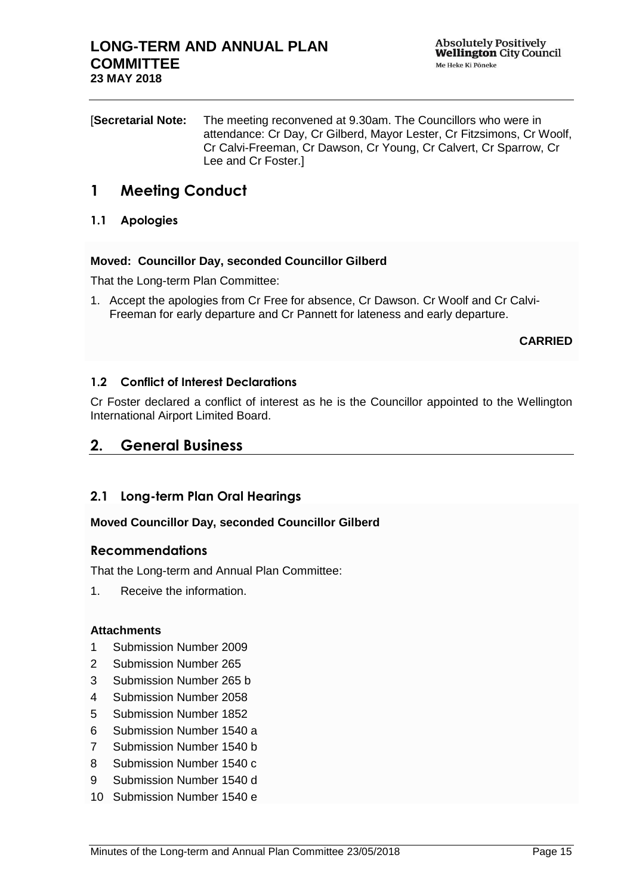[**Secretarial Note:** The meeting reconvened at 9.30am. The Councillors who were in attendance: Cr Day, Cr Gilberd, Mayor Lester, Cr Fitzsimons, Cr Woolf, Cr Calvi-Freeman, Cr Dawson, Cr Young, Cr Calvert, Cr Sparrow, Cr Lee and Cr Foster.]

# **1 Meeting Conduct**

### **1.1 Apologies**

### **Moved: Councillor Day, seconded Councillor Gilberd**

That the Long-term Plan Committee:

1. Accept the apologies from Cr Free for absence, Cr Dawson. Cr Woolf and Cr Calvi-Freeman for early departure and Cr Pannett for lateness and early departure.

### **CARRIED**

### **1.2 Conflict of Interest Declarations**

Cr Foster declared a conflict of interest as he is the Councillor appointed to the Wellington International Airport Limited Board.

## **2. General Business**

### **2.1 Long-term Plan Oral Hearings**

### **Moved Councillor Day, seconded Councillor Gilberd**

### **Recommendations**

That the Long-term and Annual Plan Committee:

1. Receive the information.

### **Attachments**

- 1 Submission Number 2009
- 2 Submission Number 265
- 3 Submission Number 265 b
- 4 Submission Number 2058
- 5 Submission Number 1852
- 6 Submission Number 1540 a
- 7 Submission Number 1540 b
- 8 Submission Number 1540 c
- 9 Submission Number 1540 d
- 10 Submission Number 1540 e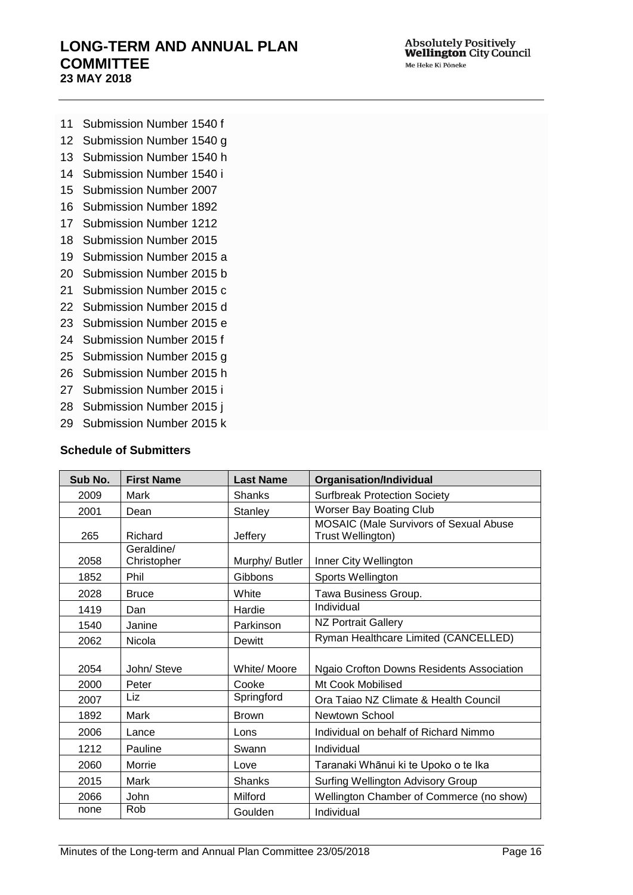- Submission Number 1540 f
- Submission Number 1540 g
- Submission Number 1540 h
- Submission Number 1540 i
- Submission Number 2007
- Submission Number 1892
- Submission Number 1212
- Submission Number 2015
- Submission Number 2015 a
- Submission Number 2015 b
- Submission Number 2015 c
- Submission Number 2015 d
- Submission Number 2015 e
- Submission Number 2015 f
- Submission Number 2015 g
- Submission Number 2015 h
- Submission Number 2015 i
- Submission Number 2015 j
- Submission Number 2015 k

### **Schedule of Submitters**

| Sub No. | <b>First Name</b>         | <b>Last Name</b> | <b>Organisation/Individual</b>                              |
|---------|---------------------------|------------------|-------------------------------------------------------------|
| 2009    | Mark                      | Shanks           | <b>Surfbreak Protection Society</b>                         |
| 2001    | Dean                      | Stanley          | Worser Bay Boating Club                                     |
| 265     | Richard                   | Jeffery          | MOSAIC (Male Survivors of Sexual Abuse<br>Trust Wellington) |
| 2058    | Geraldine/<br>Christopher | Murphy/ Butler   | Inner City Wellington                                       |
| 1852    | Phil                      | Gibbons          | Sports Wellington                                           |
| 2028    | <b>Bruce</b>              | White            | Tawa Business Group.                                        |
| 1419    | Dan                       | Hardie           | Individual                                                  |
| 1540    | Janine                    | Parkinson        | <b>NZ Portrait Gallery</b>                                  |
| 2062    | Nicola                    | <b>Dewitt</b>    | Ryman Healthcare Limited (CANCELLED)                        |
| 2054    | John/ Steve               | White/ Moore     | Ngaio Crofton Downs Residents Association                   |
| 2000    | Peter                     | Cooke            | Mt Cook Mobilised                                           |
| 2007    | Liz                       | Springford       | Ora Taiao NZ Climate & Health Council                       |
| 1892    | Mark                      | <b>Brown</b>     | Newtown School                                              |
| 2006    | Lance                     | Lons             | Individual on behalf of Richard Nimmo                       |
| 1212    | Pauline                   | Swann            | Individual                                                  |
| 2060    | Morrie                    | Love             | Taranaki Whānui ki te Upoko o te Ika                        |
| 2015    | Mark                      | Shanks           | <b>Surfing Wellington Advisory Group</b>                    |
| 2066    | John                      | Milford          | Wellington Chamber of Commerce (no show)                    |
| none    | Rob                       | Goulden          | Individual                                                  |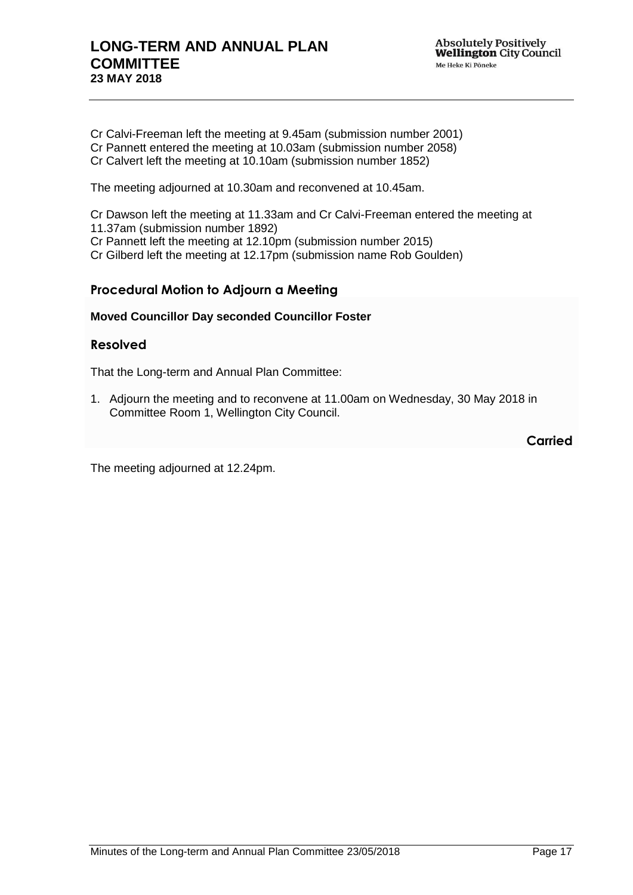Cr Calvi-Freeman left the meeting at 9.45am (submission number 2001) Cr Pannett entered the meeting at 10.03am (submission number 2058) Cr Calvert left the meeting at 10.10am (submission number 1852)

The meeting adjourned at 10.30am and reconvened at 10.45am.

Cr Dawson left the meeting at 11.33am and Cr Calvi-Freeman entered the meeting at

11.37am (submission number 1892)

Cr Pannett left the meeting at 12.10pm (submission number 2015)

Cr Gilberd left the meeting at 12.17pm (submission name Rob Goulden)

### **Procedural Motion to Adjourn a Meeting**

### **Moved Councillor Day seconded Councillor Foster**

### **Resolved**

That the Long-term and Annual Plan Committee:

1. Adjourn the meeting and to reconvene at 11.00am on Wednesday, 30 May 2018 in Committee Room 1, Wellington City Council.

**Carried**

The meeting adjourned at 12.24pm.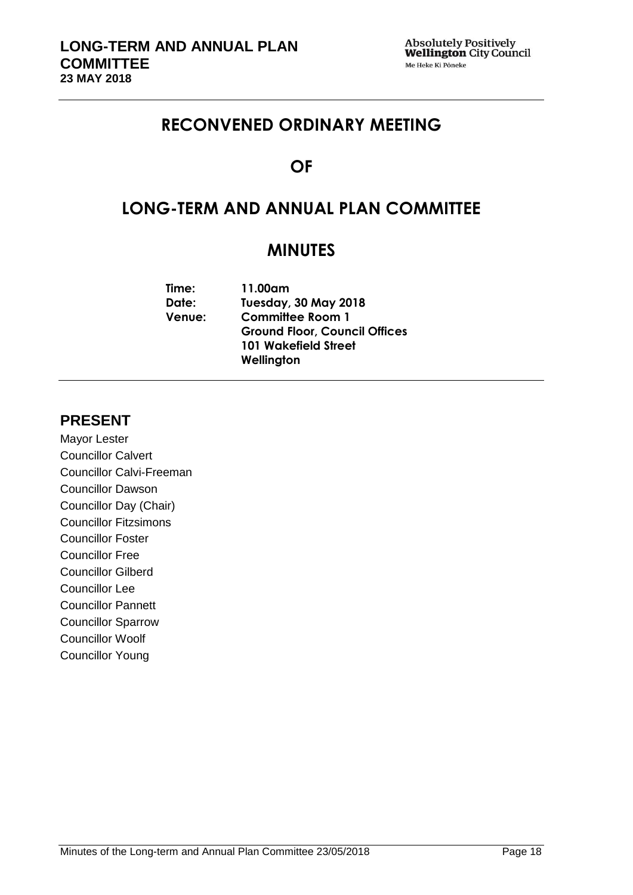# **RECONVENED ORDINARY MEETING**

# **OF**

# **LONG-TERM AND ANNUAL PLAN COMMITTEE**

# **MINUTES**

| Time:         | 11.00am                              |
|---------------|--------------------------------------|
| Date:         | <b>Tuesday, 30 May 2018</b>          |
| <b>Venue:</b> | <b>Committee Room 1</b>              |
|               | <b>Ground Floor, Council Offices</b> |
|               | <b>101 Wakefield Street</b>          |
|               | Wellington                           |
|               |                                      |

## **PRESENT**

Mayor Lester Councillor Calvert Councillor Calvi-Freeman Councillor Dawson Councillor Day (Chair) Councillor Fitzsimons Councillor Foster Councillor Free Councillor Gilberd Councillor Lee Councillor Pannett Councillor Sparrow Councillor Woolf Councillor Young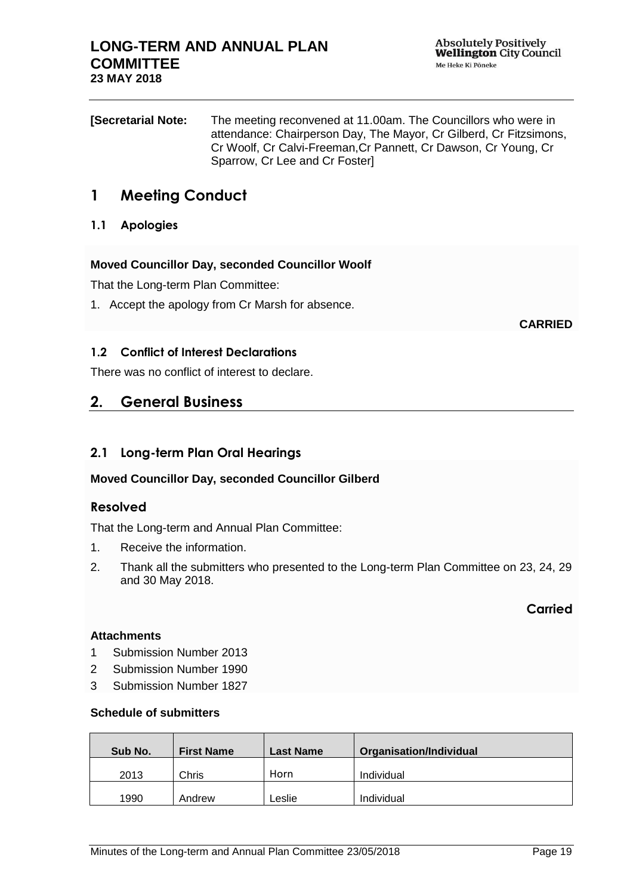| <b>Secretarial Note:</b> | The meeting reconvened at 11.00am. The Councillors who were in     |
|--------------------------|--------------------------------------------------------------------|
|                          | attendance: Chairperson Day, The Mayor, Cr Gilberd, Cr Fitzsimons, |
|                          | Cr Woolf, Cr Calvi-Freeman, Cr Pannett, Cr Dawson, Cr Young, Cr    |
|                          | Sparrow, Cr Lee and Cr Foster                                      |

## **1 Meeting Conduct**

### **1.1 Apologies**

### **Moved Councillor Day, seconded Councillor Woolf**

That the Long-term Plan Committee:

1. Accept the apology from Cr Marsh for absence.

**CARRIED**

### **1.2 Conflict of Interest Declarations**

There was no conflict of interest to declare.

## **2. General Business**

### **2.1 Long-term Plan Oral Hearings**

### **Moved Councillor Day, seconded Councillor Gilberd**

### **Resolved**

That the Long-term and Annual Plan Committee:

- 1. Receive the information.
- 2. Thank all the submitters who presented to the Long-term Plan Committee on 23, 24, 29 and 30 May 2018.

**Carried**

#### **Attachments**

- 1 Submission Number 2013
- 2 Submission Number 1990
- 3 Submission Number 1827

#### **Schedule of submitters**

| Sub No. | <b>First Name</b> | <b>Last Name</b> | Organisation/Individual |
|---------|-------------------|------------------|-------------------------|
| 2013    | Chris             | Horn             | Individual              |
| 1990    | Andrew            | eslie.           | Individual              |